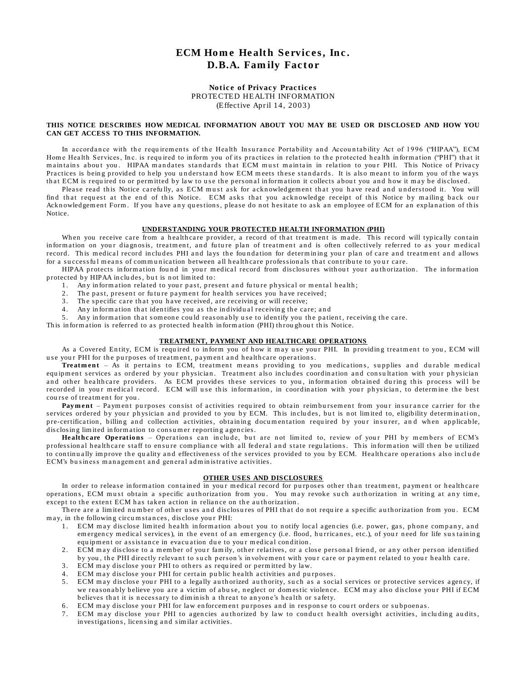# **ECM Home Health Services, Inc. D.B.A. Family Factor**

#### **Notice of Privacy Practices** PROTECTED HEALTH INFORMATION (Effective April 14, 2003)

#### **THIS NOTICE DESCRIBES HOW MEDICAL INFORMATION ABOUT YOU MAY BE USED OR DISCLOSED AND HOW YOU CAN GET ACCESS TO THIS INFORMATION.**

In accordance with the requirements of the Health Insurance Portability and Accountability Act of 1996 ("HIPAA"), ECM Home Health Services, Inc. is required to inform you of its practices in relation to the protected health information ("PHI") that it maintains about you. HIPAA mandates standards that ECM must maintain in relation to your PHI. This Notice of Privacy Practices is being provided to help you understand how ECM meets these standards. It is also meant to inform you of the ways that ECM is required to or permitted by law to use the personal information it collects about you and how it may be disclosed.

Please read this Notice carefully, as ECM must ask for acknowledgement that you have read and understood it. You will find that request at the end of this Notice. ECM asks that you acknowledge receipt of this Notice by mailing back our Acknowledgement Form. If you have any questions, please do not hesitate to ask an employee of ECM for an explanation of this Notice.

#### **UNDERSTANDING YOUR PROTECTED HEALTH INFORMATION (PHI)**

When you receive care from a healthcare provider, a record of that treatment is made. This record will typically contain information on your diagnosis, treatment, and future plan of treatment and is often collectively referred to as your medical record. This medical record includes PHI and lays the foundation for determining your plan of care and treatment and allows for a successful means of communication between all healthcare professionals that contribute to your care.

HIPAA protects information found in your medical record from disclosures without your authorization. The information protected by HIPAA includes, but is not limited to:

- 1. Any information related to your past, present and future physical or mental health;
- 2. The past, present or future payment for health services you have received;
- 3. The specific care that you have received, are receiving or will receive;
- 4. Any information that identifies you as the individual receiving the care; and
- 5. Any information that someone could reasonably use to identify you the patient, receiving the care.

This information is referred to as protected health information (PHI) throughout this Notice.

#### **TREATMENT, PAYMENT AND HEALTHCARE OPERATIONS**

As a Covered Entity, ECM is required to inform you of how it may use your PHI. In providing treatment to you, ECM will use your PHI for the purposes of treatment, payment and healthcare operations.

Treatment – As it pertains to ECM, treatment means providing to you medications, supplies and durable medical equipment services as ordered by your physician. Treatment also includes coordination and consultation with your physician and other healthcare providers. As ECM provides these services to you, information obtained during this process will be recorded in your medical record. ECM will use this information, in coordination with your physician, to determine the best course of treatment for you.

Payment – Payment purposes consist of activities required to obtain reimbursement from your insurance carrier for the services ordered by your physician and provided to you by ECM. This includes, but is not limited to, eligibility determination, pre-certification, billing and collection activities, obtaining documentation required by your insurer, and when applicable, disclosing limited information to consumer reporting agencies.

Healthcare Operations – Operations can include, but are not limited to, review of your PHI by members of ECM's professional healthcare staff to ensure compliance with all federal and state regulations. This information will then be utilized to continually improve the quality and effectiveness of the services provided to you by ECM. Healthcare operations also include ECM's business management and general administrative activities.

#### **OTHER USES AND DISCLOSURES**

In order to release information contained in your medical record for purposes other than treatment, payment or healthcare operations, ECM must obtain a specific authorization from you. You may revoke such authorization in writing at any time, except to the extent ECM has taken action in reliance on the authorization.

There are a limited number of other uses and disclosures of PHI that do not require a specific authorization from you. ECM may, in the following circumstances, disclose your PHI:

- 1. ECM may disclose limited health information about you to notify local agencies (i.e. power, gas, phone company, and em ergency medical services), in the event of an emergency (i.e. flood, hurricanes, etc.), of your need for life sustaining equipment or assistance in evacuation due to your medical condition.
- 2. ECM may disclose to a member of your family, other relatives, or a close personal friend, or any other person identified by you, the PHI directly relevant to such person's involvement with your care or payment related to your health care.
- 3. ECM may disclose your PHI to others as required or permitted by law.
- 4. ECM may disclose your PHI for certain public health activities and purposes.
- 5. ECM may disclose your PHI to a legally authorized authority, such as a social services or protective services agency, if we reasonably believe you are a victim of abuse, neglect or domestic violence. ECM may also disclose your PHI if ECM believes that it is necessary to diminish a threat to anyone's health or safety.
- 6. ECM may disclose your PHI for law enforcement purposes and in response to court orders or subpoenas.
- ECM may disclose your PHI to agencies authorized by law to conduct health oversight activities, including audits, in vestigations, licensing and similar activities.